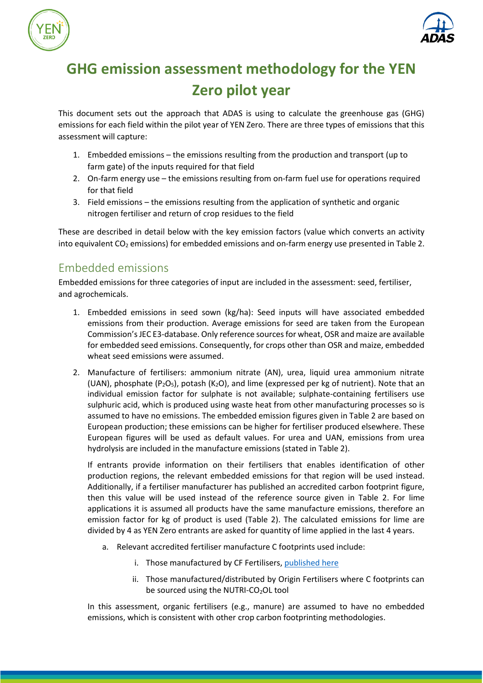



# **GHG emission assessment methodology for the YEN Zero pilot year**

This document sets out the approach that ADAS is using to calculate the greenhouse gas (GHG) emissions for each field within the pilot year of YEN Zero. There are three types of emissions that this assessment will capture:

- 1. Embedded emissions the emissions resulting from the production and transport (up to farm gate) of the inputs required for that field
- 2. On-farm energy use the emissions resulting from on-farm fuel use for operations required for that field
- 3. Field emissions the emissions resulting from the application of synthetic and organic nitrogen fertiliser and return of crop residues to the field

These are described in detail below with the key emission factors (value which converts an activity into equivalent  $CO<sub>2</sub>$  emissions) for embedded emissions and on-farm energy use presented in Table 2.

## Embedded emissions

Embedded emissions for three categories of input are included in the assessment: seed, fertiliser, and agrochemicals.

- 1. Embedded emissions in seed sown (kg/ha): Seed inputs will have associated embedded emissions from their production. Average emissions for seed are taken from the European Commission's JEC E3-database. Only reference sources for wheat, OSR and maize are available for embedded seed emissions. Consequently, for crops other than OSR and maize, embedded wheat seed emissions were assumed.
- 2. Manufacture of fertilisers: ammonium nitrate (AN), urea, liquid urea ammonium nitrate (UAN), phosphate ( $P_2O_5$ ), potash (K<sub>2</sub>O), and lime (expressed per kg of nutrient). Note that an individual emission factor for sulphate is not available; sulphate-containing fertilisers use sulphuric acid, which is produced using waste heat from other manufacturing processes so is assumed to have no emissions. The embedded emission figures given in Table 2 are based on European production; these emissions can be higher for fertiliser produced elsewhere. These European figures will be used as default values. For urea and UAN, emissions from urea hydrolysis are included in the manufacture emissions (stated in Table 2).

If entrants provide information on their fertilisers that enables identification of other production regions, the relevant embedded emissions for that region will be used instead. Additionally, if a fertiliser manufacturer has published an accredited carbon footprint figure, then this value will be used instead of the reference source given in Table 2. For lime applications it is assumed all products have the same manufacture emissions, therefore an emission factor for kg of product is used (Table 2). The calculated emissions for lime are divided by 4 as YEN Zero entrants are asked for quantity of lime applied in the last 4 years.

- a. Relevant accredited fertiliser manufacture C footprints used include:
	- i. Those manufactured by CF Fertilisers, [published here](https://www.cffertilisers.co.uk/advice-services/advice/sustainable-nitrogen/)
	- ii. Those manufactured/distributed by Origin Fertilisers where C footprints can be sourced using the NUTRI-CO<sub>2</sub>OL tool

In this assessment, organic fertilisers (e.g., manure) are assumed to have no embedded emissions, which is consistent with other crop carbon footprinting methodologies.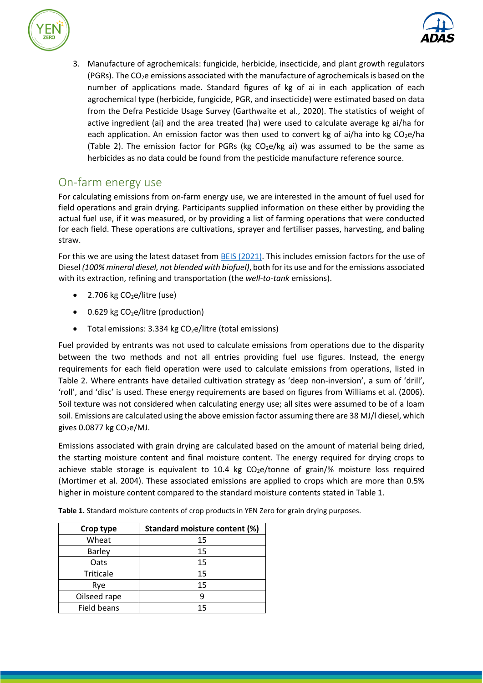



3. Manufacture of agrochemicals: fungicide, herbicide, insecticide, and plant growth regulators (PGRs). The CO2e emissions associated with the manufacture of agrochemicals is based on the number of applications made. Standard figures of kg of ai in each application of each agrochemical type (herbicide, fungicide, PGR, and insecticide) were estimated based on data from the Defra Pesticide Usage Survey (Garthwaite et al., 2020). The statistics of weight of active ingredient (ai) and the area treated (ha) were used to calculate average kg ai/ha for each application. An emission factor was then used to convert kg of ai/ha into kg  $CO<sub>2</sub>e/ha$ (Table 2). The emission factor for PGRs (kg  $CO<sub>2</sub>e/kg$  ai) was assumed to be the same as herbicides as no data could be found from the pesticide manufacture reference source.

### On-farm energy use

For calculating emissions from on-farm energy use, we are interested in the amount of fuel used for field operations and grain drying. Participants supplied information on these either by providing the actual fuel use, if it was measured, or by providing a list of farming operations that were conducted for each field. These operations are cultivations, sprayer and fertiliser passes, harvesting, and baling straw.

For this we are using the latest dataset from BEIS [\(2021\).](https://www.gov.uk/government/publications/greenhouse-gas-reporting-conversion-factors-2021) This includes emission factors for the use of Diesel *(100% mineral diesel, not blended with biofuel)*, both for its use and for the emissions associated with its extraction, refining and transportation (the *well-to-tank* emissions).

- 2.706 kg  $CO<sub>2</sub>e/l$ itre (use)
- 0.629 kg  $CO<sub>2</sub>e/litre$  (production)
- Total emissions: 3.334 kg  $CO<sub>2</sub>e/litre$  (total emissions)

Fuel provided by entrants was not used to calculate emissions from operations due to the disparity between the two methods and not all entries providing fuel use figures. Instead, the energy requirements for each field operation were used to calculate emissions from operations, listed in Table 2. Where entrants have detailed cultivation strategy as 'deep non-inversion', a sum of 'drill', 'roll', and 'disc' is used. These energy requirements are based on figures from Williams et al. (2006). Soil texture was not considered when calculating energy use; all sites were assumed to be of a loam soil. Emissions are calculated using the above emission factor assuming there are 38 MJ/l diesel, which gives  $0.0877$  kg  $CO<sub>2</sub>e/MJ$ .

Emissions associated with grain drying are calculated based on the amount of material being dried, the starting moisture content and final moisture content. The energy required for drying crops to achieve stable storage is equivalent to  $10.4$  kg CO<sub>2</sub>e/tonne of grain/% moisture loss required (Mortimer et al. 2004). These associated emissions are applied to crops which are more than 0.5% higher in moisture content compared to the standard moisture contents stated in Table 1.

| Crop type          | Standard moisture content (%) |  |  |  |
|--------------------|-------------------------------|--|--|--|
| Wheat              | 15                            |  |  |  |
| <b>Barley</b>      | 15                            |  |  |  |
| Oats               | 15                            |  |  |  |
| <b>Triticale</b>   | 15                            |  |  |  |
| Rye                | 15                            |  |  |  |
| Oilseed rape       |                               |  |  |  |
| <b>Field beans</b> | 15                            |  |  |  |

**Table 1.** Standard moisture contents of crop products in YEN Zero for grain drying purposes.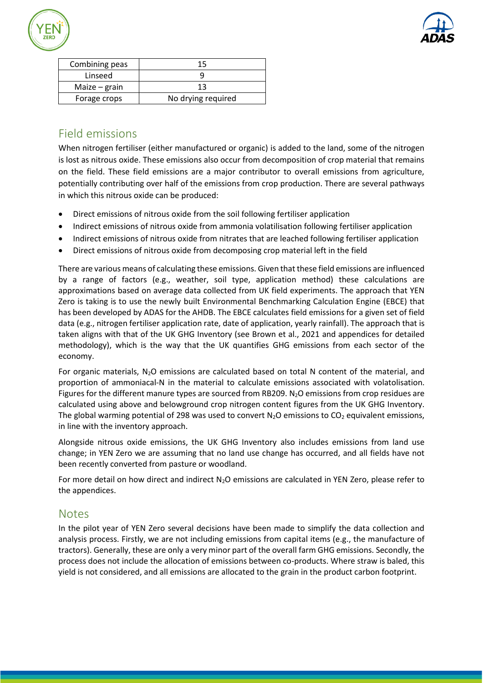



| Combining peas  | 15                 |  |  |  |
|-----------------|--------------------|--|--|--|
| Linseed         |                    |  |  |  |
| Maize $-$ grain | 13                 |  |  |  |
| Forage crops    | No drying required |  |  |  |
|                 |                    |  |  |  |

### Field emissions

When nitrogen fertiliser (either manufactured or organic) is added to the land, some of the nitrogen is lost as nitrous oxide. These emissions also occur from decomposition of crop material that remains on the field. These field emissions are a major contributor to overall emissions from agriculture, potentially contributing over half of the emissions from crop production. There are several pathways in which this nitrous oxide can be produced:

- Direct emissions of nitrous oxide from the soil following fertiliser application
- Indirect emissions of nitrous oxide from ammonia volatilisation following fertiliser application
- Indirect emissions of nitrous oxide from nitrates that are leached following fertiliser application
- Direct emissions of nitrous oxide from decomposing crop material left in the field

There are various means of calculating these emissions. Given that these field emissions are influenced by a range of factors (e.g., weather, soil type, application method) these calculations are approximations based on average data collected from UK field experiments. The approach that YEN Zero is taking is to use the newly built Environmental Benchmarking Calculation Engine (EBCE) that has been developed by ADAS for the AHDB. The EBCE calculates field emissions for a given set of field data (e.g., nitrogen fertiliser application rate, date of application, yearly rainfall). The approach that is taken aligns with that of the UK GHG Inventory (see Brown et al., 2021 and appendices for detailed methodology), which is the way that the UK quantifies GHG emissions from each sector of the economy.

For organic materials,  $N_2O$  emissions are calculated based on total N content of the material, and proportion of ammoniacal-N in the material to calculate emissions associated with volatolisation. Figures for the different manure types are sourced from RB209.  $N_2O$  emissions from crop residues are calculated using above and belowground crop nitrogen content figures from the UK GHG Inventory. The global warming potential of 298 was used to convert  $N_2O$  emissions to  $CO_2$  equivalent emissions, in line with the inventory approach.

Alongside nitrous oxide emissions, the UK GHG Inventory also includes emissions from land use change; in YEN Zero we are assuming that no land use change has occurred, and all fields have not been recently converted from pasture or woodland.

For more detail on how direct and indirect  $N_2O$  emissions are calculated in YEN Zero, please refer to the appendices.

#### **Notes**

In the pilot year of YEN Zero several decisions have been made to simplify the data collection and analysis process. Firstly, we are not including emissions from capital items (e.g., the manufacture of tractors). Generally, these are only a very minor part of the overall farm GHG emissions. Secondly, the process does not include the allocation of emissions between co-products. Where straw is baled, this yield is not considered, and all emissions are allocated to the grain in the product carbon footprint.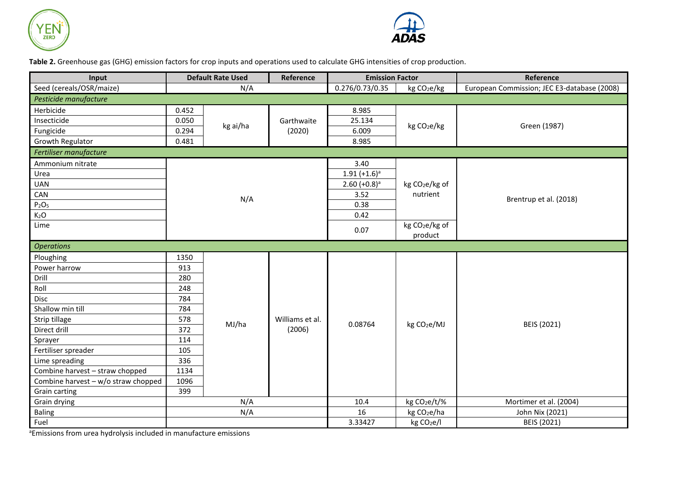



**Table 2.** Greenhouse gas (GHG) emission factors for crop inputs and operations used to calculate GHG intensities of crop production.

| Input                               | <b>Default Rate Used</b> |          | Reference                 | <b>Emission Factor</b>     |                            | Reference                                   |  |  |
|-------------------------------------|--------------------------|----------|---------------------------|----------------------------|----------------------------|---------------------------------------------|--|--|
| Seed (cereals/OSR/maize)            | N/A                      |          |                           | 0.276/0.73/0.35            | kg CO <sub>2</sub> e/kg    | European Commission; JEC E3-database (2008) |  |  |
| Pesticide manufacture               |                          |          |                           |                            |                            |                                             |  |  |
| Herbicide                           | 0.452                    |          |                           | 8.985                      |                            |                                             |  |  |
| Insecticide                         | 0.050                    | kg ai/ha | Garthwaite<br>(2020)      | 25.134                     | kg CO <sub>2</sub> e/kg    | Green (1987)                                |  |  |
| Fungicide                           | 0.294                    |          |                           | 6.009                      |                            |                                             |  |  |
| Growth Regulator                    | 0.481                    |          |                           | 8.985                      |                            |                                             |  |  |
| Fertiliser manufacture              |                          |          |                           |                            |                            |                                             |  |  |
| Ammonium nitrate                    |                          |          |                           | 3.40                       |                            |                                             |  |  |
| Urea                                |                          |          |                           | $1.91 (+1.6)^a$            |                            |                                             |  |  |
| <b>UAN</b>                          |                          |          |                           | $2.60$ (+0.8) <sup>a</sup> | kg CO <sub>2</sub> e/kg of |                                             |  |  |
| CAN                                 | N/A                      |          |                           | 3.52                       | nutrient                   | Brentrup et al. (2018)                      |  |  |
| $P_2O_5$                            |                          |          |                           | 0.38                       |                            |                                             |  |  |
| K <sub>2</sub> O                    |                          |          |                           | 0.42                       |                            |                                             |  |  |
| Lime                                |                          |          |                           | 0.07                       | kg CO <sub>2</sub> e/kg of |                                             |  |  |
|                                     |                          |          |                           |                            | product                    |                                             |  |  |
| <b>Operations</b>                   |                          |          |                           |                            |                            |                                             |  |  |
| Ploughing                           | 1350                     | MJ/ha    | Williams et al.<br>(2006) | 0.08764                    |                            | BEIS (2021)                                 |  |  |
| Power harrow                        | 913                      |          |                           |                            | kg CO <sub>2</sub> e/MJ    |                                             |  |  |
| Drill                               | 280                      |          |                           |                            |                            |                                             |  |  |
| Roll                                | 248                      |          |                           |                            |                            |                                             |  |  |
| <b>Disc</b>                         | 784                      |          |                           |                            |                            |                                             |  |  |
| Shallow min till                    | 784                      |          |                           |                            |                            |                                             |  |  |
| Strip tillage                       | 578                      |          |                           |                            |                            |                                             |  |  |
| Direct drill                        | 372                      |          |                           |                            |                            |                                             |  |  |
| Sprayer                             | 114                      |          |                           |                            |                            |                                             |  |  |
| Fertiliser spreader                 | 105                      |          |                           |                            |                            |                                             |  |  |
| Lime spreading                      | 336                      |          |                           |                            |                            |                                             |  |  |
| Combine harvest - straw chopped     | 1134                     |          |                           |                            |                            |                                             |  |  |
| Combine harvest - w/o straw chopped | 1096                     |          |                           |                            |                            |                                             |  |  |
| Grain carting                       | 399                      |          |                           |                            |                            |                                             |  |  |
| Grain drying                        | N/A                      |          |                           | 10.4                       | kg CO <sub>2</sub> e/t/%   | Mortimer et al. (2004)                      |  |  |
| Baling                              |                          | N/A      |                           | 16                         | kg CO <sub>2</sub> e/ha    | John Nix (2021)                             |  |  |
| Fuel                                |                          |          |                           | 3.33427                    | kg CO <sub>2</sub> e/I     | BEIS (2021)                                 |  |  |

aEmissions from urea hydrolysis included in manufacture emissions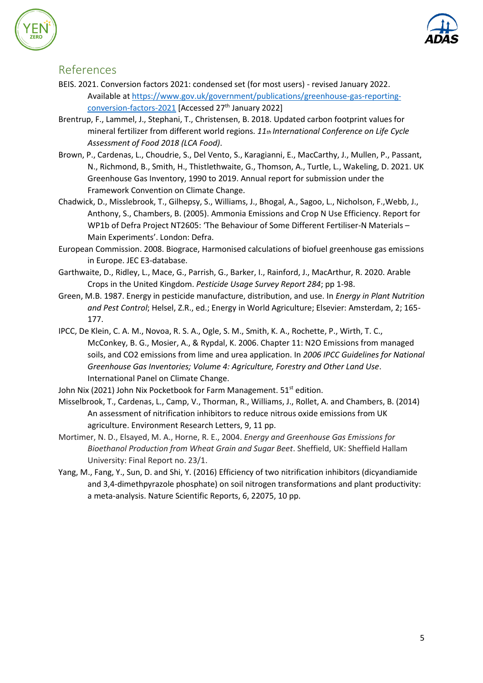



- BEIS. 2021. Conversion factors 2021: condensed set (for most users) revised January 2022. Available a[t https://www.gov.uk/government/publications/greenhouse-gas-reporting](https://www.gov.uk/government/publications/greenhouse-gas-reporting-conversion-factors-2021)[conversion-factors-2021](https://www.gov.uk/government/publications/greenhouse-gas-reporting-conversion-factors-2021) [Accessed 27<sup>th</sup> January 2022]
- Brentrup, F., Lammel, J., Stephani, T., Christensen, B. 2018. Updated carbon footprint values for mineral fertilizer from different world regions. *11th International Conference on Life Cycle Assessment of Food 2018 (LCA Food)*.
- Brown, P., Cardenas, L., Choudrie, S., Del Vento, S., Karagianni, E., MacCarthy, J., Mullen, P., Passant, N., Richmond, B., Smith, H., Thistlethwaite, G., Thomson, A., Turtle, L., Wakeling, D. 2021. UK Greenhouse Gas Inventory, 1990 to 2019. Annual report for submission under the Framework Convention on Climate Change.
- Chadwick, D., Misslebrook, T., Gilhepsy, S., Williams, J., Bhogal, A., Sagoo, L., Nicholson, F.,Webb, J., Anthony, S., Chambers, B. (2005). Ammonia Emissions and Crop N Use Efficiency. Report for WP1b of Defra Project NT2605: 'The Behaviour of Some Different Fertiliser-N Materials – Main Experiments'. London: Defra.
- European Commission. 2008. Biograce, Harmonised calculations of biofuel greenhouse gas emissions in Europe. JEC E3-database.
- Garthwaite, D., Ridley, L., Mace, G., Parrish, G., Barker, I., Rainford, J., MacArthur, R. 2020. Arable Crops in the United Kingdom. *Pesticide Usage Survey Report 284*; pp 1-98.
- Green, M.B. 1987. Energy in pesticide manufacture, distribution, and use. In *Energy in Plant Nutrition and Pest Control*; Helsel, Z.R., ed.; Energy in World Agriculture; Elsevier: Amsterdam, 2; 165- 177.
- IPCC, De Klein, C. A. M., Novoa, R. S. A., Ogle, S. M., Smith, K. A., Rochette, P., Wirth, T. C., McConkey, B. G., Mosier, A., & Rypdal, K. 2006. Chapter 11: N2O Emissions from managed soils, and CO2 emissions from lime and urea application. In *2006 IPCC Guidelines for National Greenhouse Gas Inventories; Volume 4: Agriculture, Forestry and Other Land Use*. International Panel on Climate Change.
- John Nix (2021) John Nix Pocketbook for Farm Management. 51<sup>st</sup> edition.
- Misselbrook, T., Cardenas, L., Camp, V., Thorman, R., Williams, J., Rollet, A. and Chambers, B. (2014) An assessment of nitrification inhibitors to reduce nitrous oxide emissions from UK agriculture. Environment Research Letters, 9, 11 pp.
- Mortimer, N. D., Elsayed, M. A., Horne, R. E., 2004. *Energy and Greenhouse Gas Emissions for Bioethanol Production from Wheat Grain and Sugar Beet*. Sheffield, UK: Sheffield Hallam University: Final Report no. 23/1.
- Yang, M., Fang, Y., Sun, D. and Shi, Y. (2016) Efficiency of two nitrification inhibitors (dicyandiamide and 3,4-dimethpyrazole phosphate) on soil nitrogen transformations and plant productivity: a meta-analysis. Nature Scientific Reports, 6, 22075, 10 pp.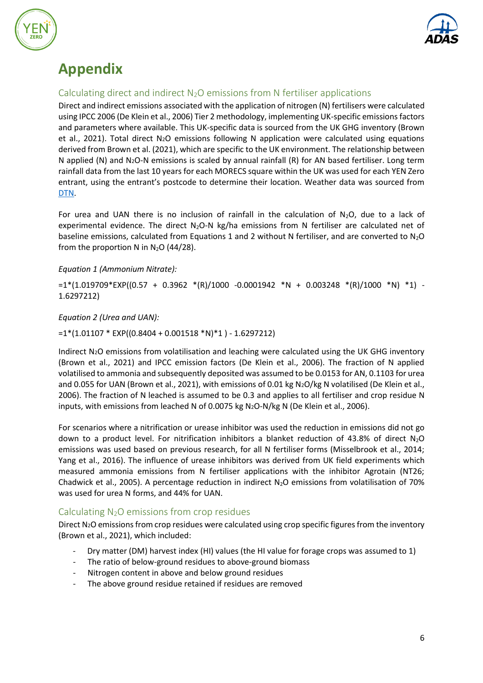



# **Appendix**

#### Calculating direct and indirect  $N_2O$  emissions from N fertiliser applications

Direct and indirect emissions associated with the application of nitrogen (N) fertilisers were calculated using IPCC 2006 (De Klein et al., 2006) Tier 2 methodology, implementing UK-specific emissions factors and parameters where available. This UK-specific data is sourced from the UK GHG inventory (Brown et al., 2021). Total direct N2O emissions following N application were calculated using equations derived from Brown et al. (2021), which are specific to the UK environment. The relationship between N applied (N) and N2O-N emissions is scaled by annual rainfall (R) for AN based fertiliser. Long term rainfall data from the last 10 years for each MORECS square within the UK was used for each YEN Zero entrant, using the entrant's postcode to determine their location. Weather data was sourced from [DTN.](https://www.dtn.com/)

For urea and UAN there is no inclusion of rainfall in the calculation of  $N_2O$ , due to a lack of experimental evidence. The direct  $N_2O-N$  kg/ha emissions from N fertiliser are calculated net of baseline emissions, calculated from Equations 1 and 2 without N fertiliser, and are converted to  $N_2O$ from the proportion N in  $N_2O$  (44/28).

*Equation 1 (Ammonium Nitrate):*

 $=1*(1.019709*EXP((0.57 + 0.3962 * (R)/1000 -0.0001942 *N + 0.003248 * (R)/1000 *N) *1) -1*(1.019709*ENP((0.57 + 0.3962 * (R)/1000 -0.0001942 *N) + 0.003248 * (R)/1000 *N)$ 1.6297212)

*Equation 2 (Urea and UAN):*

 $=1*(1.01107 * EXP((0.8404 + 0.001518 * N)*1) - 1.6297212)$ 

Indirect N2O emissions from volatilisation and leaching were calculated using the UK GHG inventory (Brown et al., 2021) and IPCC emission factors (De Klein et al., 2006). The fraction of N applied volatilised to ammonia and subsequently deposited was assumed to be 0.0153 for AN, 0.1103 for urea and 0.055 for UAN (Brown et al., 2021), with emissions of 0.01 kg N2O/kg N volatilised (De Klein et al., 2006). The fraction of N leached is assumed to be 0.3 and applies to all fertiliser and crop residue N inputs, with emissions from leached N of 0.0075 kg N2O-N/kg N (De Klein et al., 2006).

For scenarios where a nitrification or urease inhibitor was used the reduction in emissions did not go down to a product level. For nitrification inhibitors a blanket reduction of 43.8% of direct  $N_2O$ emissions was used based on previous research, for all N fertiliser forms (Misselbrook et al., 2014; Yang et al., 2016). The influence of urease inhibitors was derived from UK field experiments which measured ammonia emissions from N fertiliser applications with the inhibitor Agrotain (NT26; Chadwick et al., 2005). A percentage reduction in indirect  $N_2O$  emissions from volatilisation of 70% was used for urea N forms, and 44% for UAN.

#### Calculating  $N_2O$  emissions from crop residues

Direct N<sub>2</sub>O emissions from crop residues were calculated using crop specific figures from the inventory (Brown et al., 2021), which included:

- Dry matter (DM) harvest index (HI) values (the HI value for forage crops was assumed to 1)
- The ratio of below-ground residues to above-ground biomass
- Nitrogen content in above and below ground residues
- The above ground residue retained if residues are removed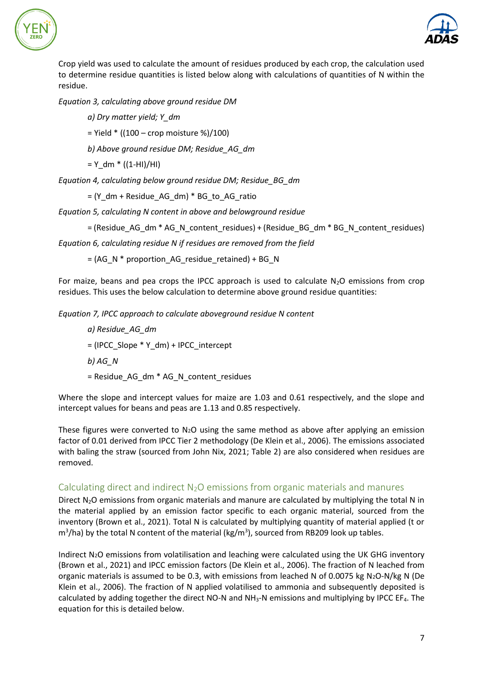



Crop yield was used to calculate the amount of residues produced by each crop, the calculation used to determine residue quantities is listed below along with calculations of quantities of N within the residue.

*Equation 3, calculating above ground residue DM*

*a) Dry matter yield; Y\_dm*

 $=$  Yield  $*$  ((100 – crop moisture %)/100)

*b) Above ground residue DM; Residue\_AG\_dm*

 $=$  Y dm  $*$  ((1-HI)/HI)

*Equation 4, calculating below ground residue DM; Residue\_BG\_dm*

 $= (Y$  dm + Residue AG dm)  $*$  BG to AG ratio

*Equation 5, calculating N content in above and belowground residue*

= (Residue\_AG\_dm \* AG\_N\_content\_residues) + (Residue\_BG\_dm \* BG\_N\_content\_residues)

*Equation 6, calculating residue N if residues are removed from the field* 

 $=$  (AG\_N \* proportion\_AG\_residue\_retained) + BG\_N

For maize, beans and pea crops the IPCC approach is used to calculate  $N_2O$  emissions from crop residues. This uses the below calculation to determine above ground residue quantities:

*Equation 7, IPCC approach to calculate aboveground residue N content*

*a) Residue\_AG\_dm*  $=$  (IPCC\_Slope \* Y\_dm) + IPCC\_intercept *b) AG\_N* = Residue\_AG\_dm \* AG\_N\_content\_residues

Where the slope and intercept values for maize are 1.03 and 0.61 respectively, and the slope and intercept values for beans and peas are 1.13 and 0.85 respectively.

These figures were converted to  $N_2O$  using the same method as above after applying an emission factor of 0.01 derived from IPCC Tier 2 methodology (De Klein et al., 2006). The emissions associated with baling the straw (sourced from John Nix, 2021; Table 2) are also considered when residues are removed.

#### Calculating direct and indirect  $N_2O$  emissions from organic materials and manures

Direct  $N_2O$  emissions from organic materials and manure are calculated by multiplying the total N in the material applied by an emission factor specific to each organic material, sourced from the inventory (Brown et al., 2021). Total N is calculated by multiplying quantity of material applied (t or m<sup>3</sup>/ha) by the total N content of the material (kg/m<sup>3</sup>), sourced from RB209 look up tables.

Indirect N2O emissions from volatilisation and leaching were calculated using the UK GHG inventory (Brown et al., 2021) and IPCC emission factors (De Klein et al., 2006). The fraction of N leached from organic materials is assumed to be 0.3, with emissions from leached N of 0.0075 kg N<sub>2</sub>O-N/kg N (De Klein et al., 2006). The fraction of N applied volatilised to ammonia and subsequently deposited is calculated by adding together the direct NO-N and  $NH<sub>3</sub>-N$  emissions and multiplying by IPCC EF<sub>4</sub>. The equation for this is detailed below.